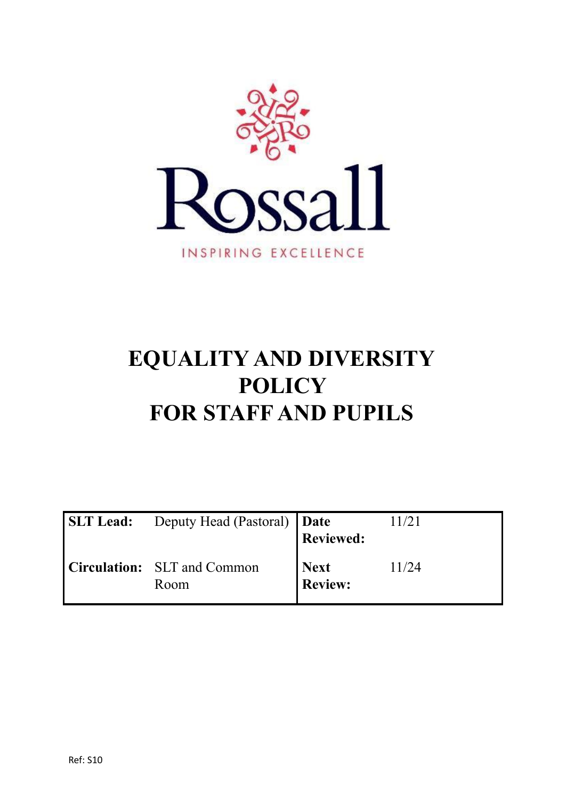

# **EQUALITY AND DIVERSITY POLICY FOR STAFF AND PUPILS**

| SLT Lead: Deputy Head (Pastoral)   Date    | <b>Reviewed:</b>       | 11/21 |
|--------------------------------------------|------------------------|-------|
| <b>Circulation:</b> SLT and Common<br>Room | Next<br><b>Review:</b> | 11/24 |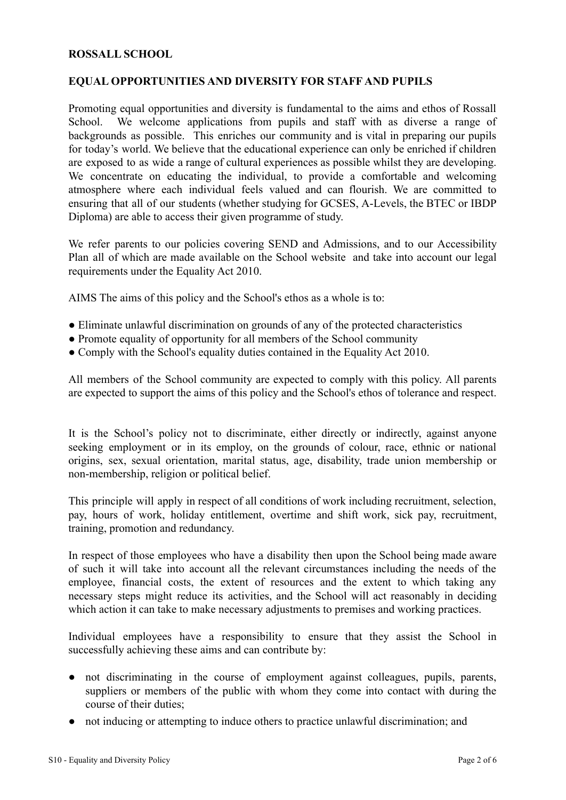#### **ROSSALL SCHOOL**

#### **EQUAL OPPORTUNITIES AND DIVERSITY FOR STAFF AND PUPILS**

Promoting equal opportunities and diversity is fundamental to the aims and ethos of Rossall School. We welcome applications from pupils and staff with as diverse a range of backgrounds as possible. This enriches our community and is vital in preparing our pupils for today's world. We believe that the educational experience can only be enriched if children are exposed to as wide a range of cultural experiences as possible whilst they are developing. We concentrate on educating the individual, to provide a comfortable and welcoming atmosphere where each individual feels valued and can flourish. We are committed to ensuring that all of our students (whether studying for GCSES, A-Levels, the BTEC or IBDP Diploma) are able to access their given programme of study.

We refer parents to our policies covering SEND and Admissions, and to our Accessibility Plan all of which are made available on the School website and take into account our legal requirements under the Equality Act 2010.

AIMS The aims of this policy and the School's ethos as a whole is to:

- Eliminate unlawful discrimination on grounds of any of the protected characteristics
- Promote equality of opportunity for all members of the School community
- Comply with the School's equality duties contained in the Equality Act 2010.

All members of the School community are expected to comply with this policy. All parents are expected to support the aims of this policy and the School's ethos of tolerance and respect.

It is the School's policy not to discriminate, either directly or indirectly, against anyone seeking employment or in its employ, on the grounds of colour, race, ethnic or national origins, sex, sexual orientation, marital status, age, disability, trade union membership or non-membership, religion or political belief.

This principle will apply in respect of all conditions of work including recruitment, selection, pay, hours of work, holiday entitlement, overtime and shift work, sick pay, recruitment, training, promotion and redundancy.

In respect of those employees who have a disability then upon the School being made aware of such it will take into account all the relevant circumstances including the needs of the employee, financial costs, the extent of resources and the extent to which taking any necessary steps might reduce its activities, and the School will act reasonably in deciding which action it can take to make necessary adjustments to premises and working practices.

Individual employees have a responsibility to ensure that they assist the School in successfully achieving these aims and can contribute by:

- not discriminating in the course of employment against colleagues, pupils, parents, suppliers or members of the public with whom they come into contact with during the course of their duties;
- not inducing or attempting to induce others to practice unlawful discrimination; and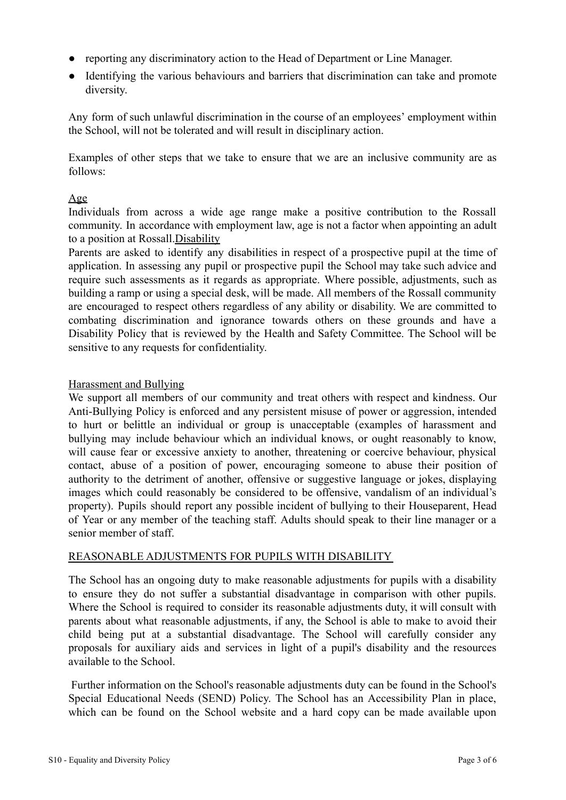- reporting any discriminatory action to the Head of Department or Line Manager.
- Identifying the various behaviours and barriers that discrimination can take and promote diversity.

Any form of such unlawful discrimination in the course of an employees' employment within the School, will not be tolerated and will result in disciplinary action.

Examples of other steps that we take to ensure that we are an inclusive community are as follows:

# Age

Individuals from across a wide age range make a positive contribution to the Rossall community. In accordance with employment law, age is not a factor when appointing an adult to a position at Rossall.Disability

Parents are asked to identify any disabilities in respect of a prospective pupil at the time of application. In assessing any pupil or prospective pupil the School may take such advice and require such assessments as it regards as appropriate. Where possible, adjustments, such as building a ramp or using a special desk, will be made. All members of the Rossall community are encouraged to respect others regardless of any ability or disability. We are committed to combating discrimination and ignorance towards others on these grounds and have a Disability Policy that is reviewed by the Health and Safety Committee. The School will be sensitive to any requests for confidentiality.

#### Harassment and Bullying

We support all members of our community and treat others with respect and kindness. Our Anti-Bullying Policy is enforced and any persistent misuse of power or aggression, intended to hurt or belittle an individual or group is unacceptable (examples of harassment and bullying may include behaviour which an individual knows, or ought reasonably to know, will cause fear or excessive anxiety to another, threatening or coercive behaviour, physical contact, abuse of a position of power, encouraging someone to abuse their position of authority to the detriment of another, offensive or suggestive language or jokes, displaying images which could reasonably be considered to be offensive, vandalism of an individual's property). Pupils should report any possible incident of bullying to their Houseparent, Head of Year or any member of the teaching staff. Adults should speak to their line manager or a senior member of staff.

#### REASONABLE ADJUSTMENTS FOR PUPILS WITH DISABILITY

The School has an ongoing duty to make reasonable adjustments for pupils with a disability to ensure they do not suffer a substantial disadvantage in comparison with other pupils. Where the School is required to consider its reasonable adjustments duty, it will consult with parents about what reasonable adjustments, if any, the School is able to make to avoid their child being put at a substantial disadvantage. The School will carefully consider any proposals for auxiliary aids and services in light of a pupil's disability and the resources available to the School.

Further information on the School's reasonable adjustments duty can be found in the School's Special Educational Needs (SEND) Policy. The School has an Accessibility Plan in place, which can be found on the School website and a hard copy can be made available upon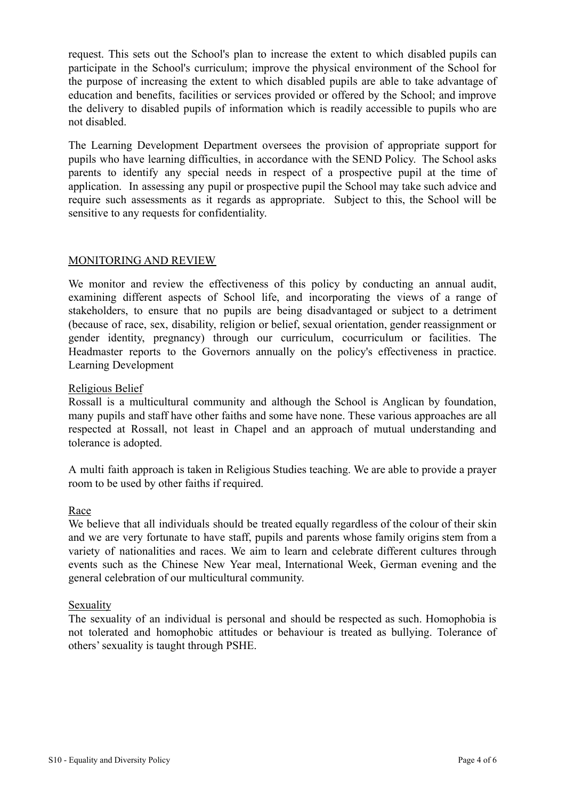request. This sets out the School's plan to increase the extent to which disabled pupils can participate in the School's curriculum; improve the physical environment of the School for the purpose of increasing the extent to which disabled pupils are able to take advantage of education and benefits, facilities or services provided or offered by the School; and improve the delivery to disabled pupils of information which is readily accessible to pupils who are not disabled.

The Learning Development Department oversees the provision of appropriate support for pupils who have learning difficulties, in accordance with the SEND Policy. The School asks parents to identify any special needs in respect of a prospective pupil at the time of application. In assessing any pupil or prospective pupil the School may take such advice and require such assessments as it regards as appropriate. Subject to this, the School will be sensitive to any requests for confidentiality.

# MONITORING AND REVIEW

We monitor and review the effectiveness of this policy by conducting an annual audit, examining different aspects of School life, and incorporating the views of a range of stakeholders, to ensure that no pupils are being disadvantaged or subject to a detriment (because of race, sex, disability, religion or belief, sexual orientation, gender reassignment or gender identity, pregnancy) through our curriculum, cocurriculum or facilities. The Headmaster reports to the Governors annually on the policy's effectiveness in practice. Learning Development

#### Religious Belief

Rossall is a multicultural community and although the School is Anglican by foundation, many pupils and staff have other faiths and some have none. These various approaches are all respected at Rossall, not least in Chapel and an approach of mutual understanding and tolerance is adopted.

A multi faith approach is taken in Religious Studies teaching. We are able to provide a prayer room to be used by other faiths if required.

#### Race

We believe that all individuals should be treated equally regardless of the colour of their skin and we are very fortunate to have staff, pupils and parents whose family origins stem from a variety of nationalities and races. We aim to learn and celebrate different cultures through events such as the Chinese New Year meal, International Week, German evening and the general celebration of our multicultural community.

#### Sexuality

The sexuality of an individual is personal and should be respected as such. Homophobia is not tolerated and homophobic attitudes or behaviour is treated as bullying. Tolerance of others' sexuality is taught through PSHE.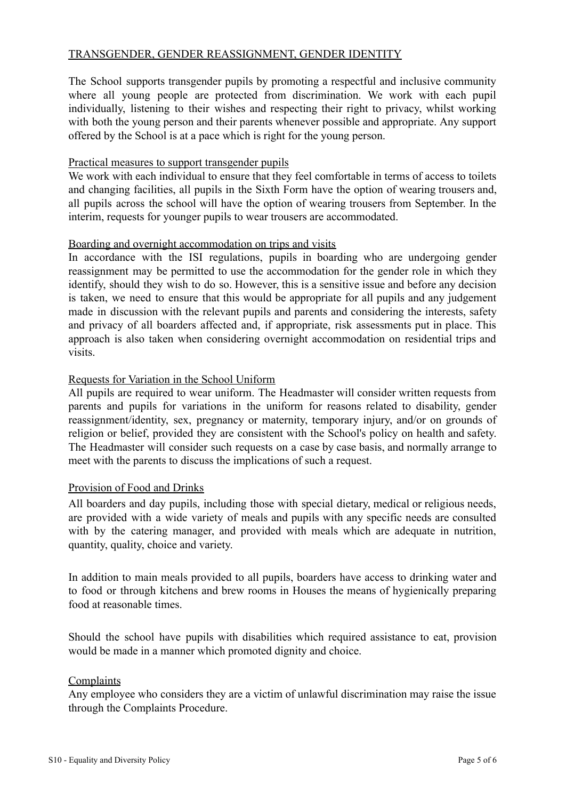# TRANSGENDER, GENDER REASSIGNMENT, GENDER IDENTITY

The School supports transgender pupils by promoting a respectful and inclusive community where all young people are protected from discrimination. We work with each pupil individually, listening to their wishes and respecting their right to privacy, whilst working with both the young person and their parents whenever possible and appropriate. Any support offered by the School is at a pace which is right for the young person.

#### Practical measures to support transgender pupils

We work with each individual to ensure that they feel comfortable in terms of access to toilets and changing facilities, all pupils in the Sixth Form have the option of wearing trousers and, all pupils across the school will have the option of wearing trousers from September. In the interim, requests for younger pupils to wear trousers are accommodated.

#### Boarding and overnight accommodation on trips and visits

In accordance with the ISI regulations, pupils in boarding who are undergoing gender reassignment may be permitted to use the accommodation for the gender role in which they identify, should they wish to do so. However, this is a sensitive issue and before any decision is taken, we need to ensure that this would be appropriate for all pupils and any judgement made in discussion with the relevant pupils and parents and considering the interests, safety and privacy of all boarders affected and, if appropriate, risk assessments put in place. This approach is also taken when considering overnight accommodation on residential trips and visits.

# Requests for Variation in the School Uniform

All pupils are required to wear uniform. The Headmaster will consider written requests from parents and pupils for variations in the uniform for reasons related to disability, gender reassignment/identity, sex, pregnancy or maternity, temporary injury, and/or on grounds of religion or belief, provided they are consistent with the School's policy on health and safety. The Headmaster will consider such requests on a case by case basis, and normally arrange to meet with the parents to discuss the implications of such a request.

#### Provision of Food and Drinks

All boarders and day pupils, including those with special dietary, medical or religious needs, are provided with a wide variety of meals and pupils with any specific needs are consulted with by the catering manager, and provided with meals which are adequate in nutrition, quantity, quality, choice and variety.

In addition to main meals provided to all pupils, boarders have access to drinking water and to food or through kitchens and brew rooms in Houses the means of hygienically preparing food at reasonable times.

Should the school have pupils with disabilities which required assistance to eat, provision would be made in a manner which promoted dignity and choice.

#### Complaints

Any employee who considers they are a victim of unlawful discrimination may raise the issue through the Complaints Procedure.